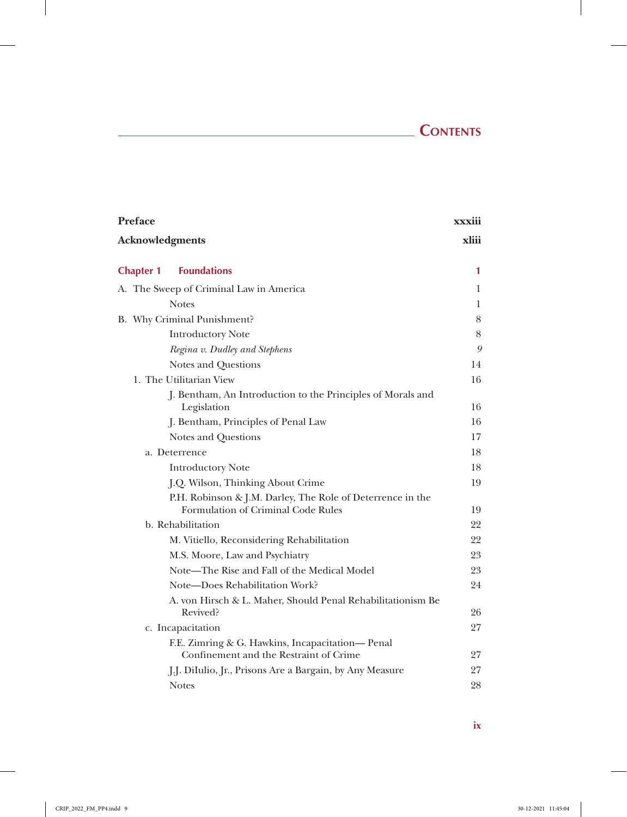# **Contents**

 $\overline{\phantom{a}}$ 

| Preface                                                                                          | xxxiii |
|--------------------------------------------------------------------------------------------------|--------|
| <b>Acknowledgments</b>                                                                           | xliii  |
| <b>Foundations</b><br><b>Chapter 1</b>                                                           | 1      |
| A. The Sweep of Criminal Law in America                                                          | 1      |
| <b>Notes</b>                                                                                     | 1      |
| B. Why Criminal Punishment?                                                                      | 8      |
| <b>Introductory Note</b>                                                                         | $8\,$  |
| Regina v. Dudley and Stephens                                                                    | 9      |
| Notes and Questions                                                                              | 14     |
| 1. The Utilitarian View                                                                          | 16     |
| J. Bentham, An Introduction to the Principles of Morals and<br>Legislation                       | 16     |
| J. Bentham, Principles of Penal Law                                                              | 16     |
| Notes and Questions                                                                              | 17     |
| a. Deterrence                                                                                    | 18     |
| <b>Introductory Note</b>                                                                         | 18     |
| J.Q. Wilson, Thinking About Crime                                                                | 19     |
| P.H. Robinson & J.M. Darley, The Role of Deterrence in the<br>Formulation of Criminal Code Rules | 19     |
| b. Rehabilitation                                                                                | 22     |
| M. Vitiello, Reconsidering Rehabilitation                                                        | 22     |
| M.S. Moore, Law and Psychiatry                                                                   | 23     |
| Note—The Rise and Fall of the Medical Model                                                      | 23     |
| Note-Does Rehabilitation Work?                                                                   | 24     |
| A. von Hirsch & L. Maher, Should Penal Rehabilitationism Be<br>Revived?                          | 26     |
| c. Incapacitation                                                                                | 27     |
| F.E. Zimring & G. Hawkins, Incapacitation— Penal<br>Confinement and the Restraint of Crime       | 27     |
| J.J. DiIulio, Jr., Prisons Are a Bargain, by Any Measure                                         | 27     |
| <b>Notes</b>                                                                                     | 28     |
|                                                                                                  |        |

**ix**

 $\overline{\phantom{a}}$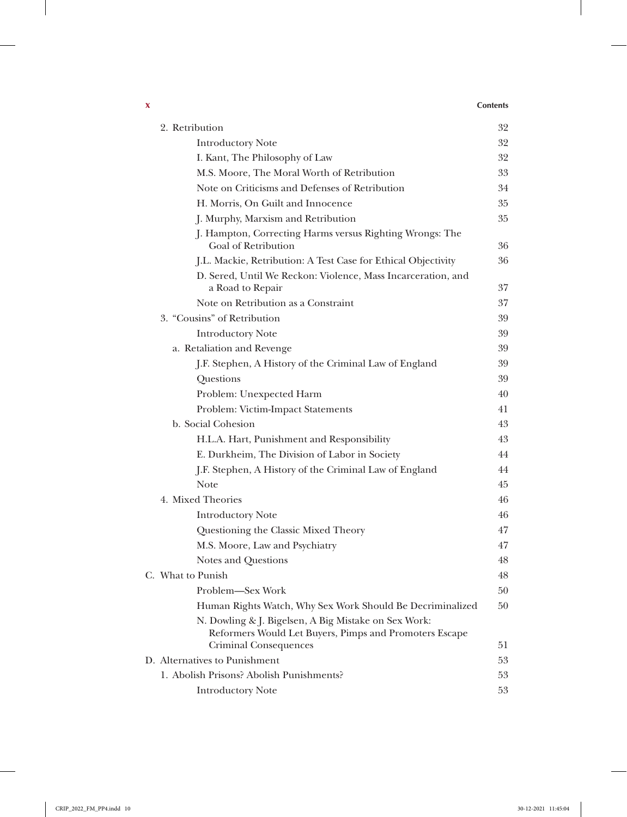### **x Contents**

 $\overline{\phantom{a}}$ 

| 2. Retribution                                                                                                 | 32     |
|----------------------------------------------------------------------------------------------------------------|--------|
| <b>Introductory Note</b>                                                                                       | 32     |
| I. Kant, The Philosophy of Law                                                                                 | 32     |
| M.S. Moore, The Moral Worth of Retribution                                                                     | 33     |
| Note on Criticisms and Defenses of Retribution                                                                 | 34     |
| H. Morris, On Guilt and Innocence                                                                              | 35     |
| J. Murphy, Marxism and Retribution                                                                             | 35     |
| J. Hampton, Correcting Harms versus Righting Wrongs: The<br>Goal of Retribution                                | 36     |
| J.L. Mackie, Retribution: A Test Case for Ethical Objectivity                                                  | 36     |
| D. Sered, Until We Reckon: Violence, Mass Incarceration, and<br>a Road to Repair                               | 37     |
| Note on Retribution as a Constraint                                                                            | 37     |
| 3. "Cousins" of Retribution                                                                                    | 39     |
| <b>Introductory Note</b>                                                                                       | 39     |
| a. Retaliation and Revenge                                                                                     | 39     |
| J.F. Stephen, A History of the Criminal Law of England                                                         | 39     |
| Questions                                                                                                      | 39     |
| Problem: Unexpected Harm                                                                                       | 40     |
| Problem: Victim-Impact Statements                                                                              | 41     |
| b. Social Cohesion                                                                                             | 43     |
| H.L.A. Hart, Punishment and Responsibility                                                                     | 43     |
| E. Durkheim, The Division of Labor in Society                                                                  | 44     |
| J.F. Stephen, A History of the Criminal Law of England                                                         | 44     |
| <b>Note</b>                                                                                                    | 45     |
| 4. Mixed Theories                                                                                              | 46     |
| <b>Introductory Note</b>                                                                                       | 46     |
| Questioning the Classic Mixed Theory                                                                           | 47     |
| M.S. Moore, Law and Psychiatry                                                                                 | 47     |
| Notes and Questions                                                                                            | 48     |
| C. What to Punish                                                                                              | $48\,$ |
| Problem—Sex Work                                                                                               | 50     |
| Human Rights Watch, Why Sex Work Should Be Decriminalized                                                      | 50     |
| N. Dowling & J. Bigelsen, A Big Mistake on Sex Work:<br>Reformers Would Let Buyers, Pimps and Promoters Escape |        |
| Criminal Consequences                                                                                          | 51     |
| D. Alternatives to Punishment                                                                                  | 53     |
| 1. Abolish Prisons? Abolish Punishments?                                                                       | 53     |
| <b>Introductory Note</b>                                                                                       | 53     |

 $\perp$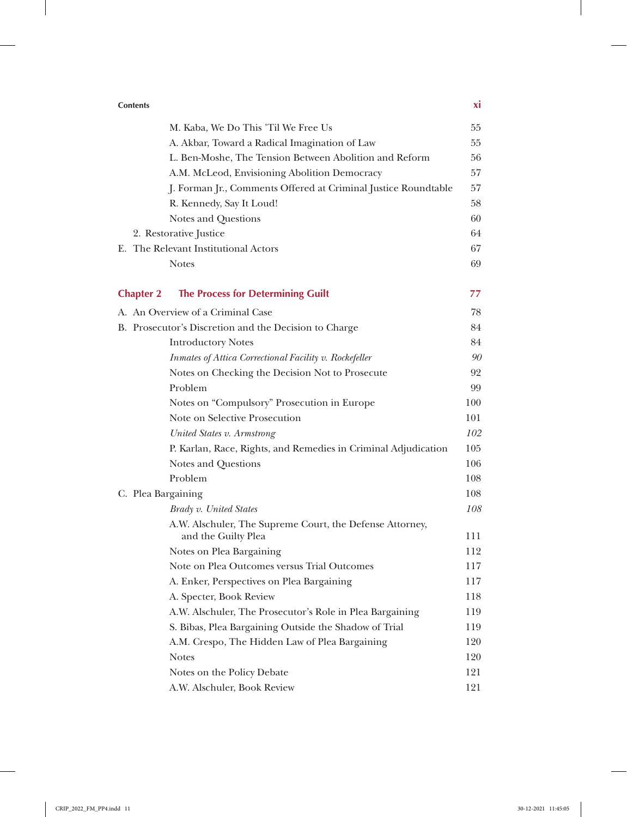## **Contents xi**

 $\mathbf{r}$ 

|                    | M. Kaba, We Do This 'Til We Free Us                                             | 55  |
|--------------------|---------------------------------------------------------------------------------|-----|
|                    | A. Akbar, Toward a Radical Imagination of Law                                   | 55  |
|                    | L. Ben-Moshe, The Tension Between Abolition and Reform                          | 56  |
|                    | A.M. McLeod, Envisioning Abolition Democracy                                    | 57  |
|                    | J. Forman Jr., Comments Offered at Criminal Justice Roundtable                  | 57  |
|                    | R. Kennedy, Say It Loud!                                                        | 58  |
|                    | Notes and Questions                                                             | 60  |
|                    | 2. Restorative Justice                                                          | 64  |
|                    | E. The Relevant Institutional Actors                                            | 67  |
|                    | <b>Notes</b>                                                                    | 69  |
| <b>Chapter 2</b>   | <b>The Process for Determining Guilt</b>                                        | 77  |
|                    | A. An Overview of a Criminal Case                                               | 78  |
|                    | B. Prosecutor's Discretion and the Decision to Charge                           | 84  |
|                    | <b>Introductory Notes</b>                                                       | 84  |
|                    | Inmates of Attica Correctional Facility v. Rockefeller                          | 90  |
|                    | Notes on Checking the Decision Not to Prosecute                                 | 92  |
|                    | Problem                                                                         | 99  |
|                    | Notes on "Compulsory" Prosecution in Europe                                     | 100 |
|                    | Note on Selective Prosecution                                                   | 101 |
|                    | United States v. Armstrong                                                      | 102 |
|                    | P. Karlan, Race, Rights, and Remedies in Criminal Adjudication                  | 105 |
|                    | Notes and Questions                                                             | 106 |
|                    | Problem                                                                         | 108 |
| C. Plea Bargaining |                                                                                 | 108 |
|                    | Brady v. United States                                                          | 108 |
|                    | A.W. Alschuler, The Supreme Court, the Defense Attorney,<br>and the Guilty Plea | 111 |
|                    | Notes on Plea Bargaining                                                        | 112 |
|                    | Note on Plea Outcomes versus Trial Outcomes                                     | 117 |
|                    | A. Enker, Perspectives on Plea Bargaining                                       | 117 |
|                    | A. Specter, Book Review                                                         | 118 |
|                    | A.W. Alschuler, The Prosecutor's Role in Plea Bargaining                        | 119 |
|                    | S. Bibas, Plea Bargaining Outside the Shadow of Trial                           | 119 |
|                    | A.M. Crespo, The Hidden Law of Plea Bargaining                                  | 120 |
|                    | <b>Notes</b>                                                                    | 120 |
|                    | Notes on the Policy Debate                                                      | 121 |
|                    | A.W. Alschuler, Book Review                                                     | 121 |
|                    |                                                                                 |     |

 $\overline{\phantom{a}}$ 

 $\begin{array}{c} \hline \end{array}$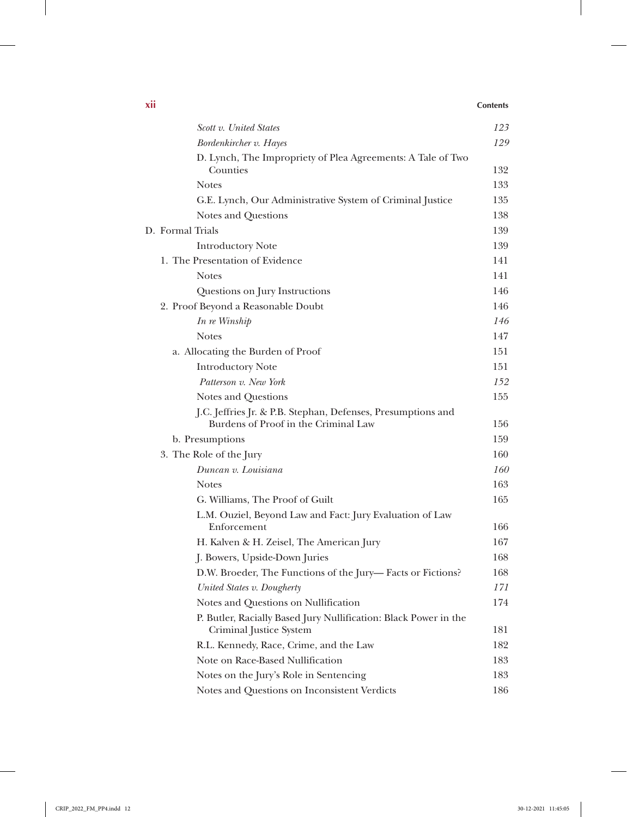### **xii Contents**

 $\begin{array}{c} \hline \end{array}$ 

| Scott v. United States                                                                               | 123 |
|------------------------------------------------------------------------------------------------------|-----|
| Bordenkircher v. Hayes                                                                               | 129 |
| D. Lynch, The Impropriety of Plea Agreements: A Tale of Two<br>Counties                              | 132 |
| <b>Notes</b>                                                                                         | 133 |
| G.E. Lynch, Our Administrative System of Criminal Justice                                            | 135 |
| Notes and Questions                                                                                  | 138 |
| D. Formal Trials                                                                                     | 139 |
| <b>Introductory Note</b>                                                                             | 139 |
| 1. The Presentation of Evidence                                                                      | 141 |
| <b>Notes</b>                                                                                         | 141 |
| Questions on Jury Instructions                                                                       | 146 |
| 2. Proof Beyond a Reasonable Doubt                                                                   | 146 |
| In re Winship                                                                                        | 146 |
| <b>Notes</b>                                                                                         | 147 |
| a. Allocating the Burden of Proof                                                                    | 151 |
| <b>Introductory Note</b>                                                                             | 151 |
| Patterson v. New York                                                                                | 152 |
| Notes and Questions                                                                                  | 155 |
| J.C. Jeffries Jr. & P.B. Stephan, Defenses, Presumptions and<br>Burdens of Proof in the Criminal Law | 156 |
| b. Presumptions                                                                                      | 159 |
| 3. The Role of the Jury                                                                              | 160 |
| Duncan v. Louisiana                                                                                  | 160 |
| <b>Notes</b>                                                                                         | 163 |
| G. Williams, The Proof of Guilt                                                                      | 165 |
| L.M. Ouziel, Beyond Law and Fact: Jury Evaluation of Law                                             |     |
| Enforcement                                                                                          | 166 |
| H. Kalven & H. Zeisel, The American Jury                                                             | 167 |
| J. Bowers, Upside-Down Juries                                                                        | 168 |
| D.W. Broeder, The Functions of the Jury-Facts or Fictions?                                           | 168 |
| United States v. Dougherty                                                                           | 171 |
| Notes and Questions on Nullification                                                                 | 174 |
| P. Butler, Racially Based Jury Nullification: Black Power in the<br>Criminal Justice System          | 181 |
| R.L. Kennedy, Race, Crime, and the Law                                                               | 182 |
| Note on Race-Based Nullification                                                                     | 183 |
| Notes on the Jury's Role in Sentencing                                                               | 183 |
| Notes and Questions on Inconsistent Verdicts                                                         | 186 |

 $\mathbf{I}$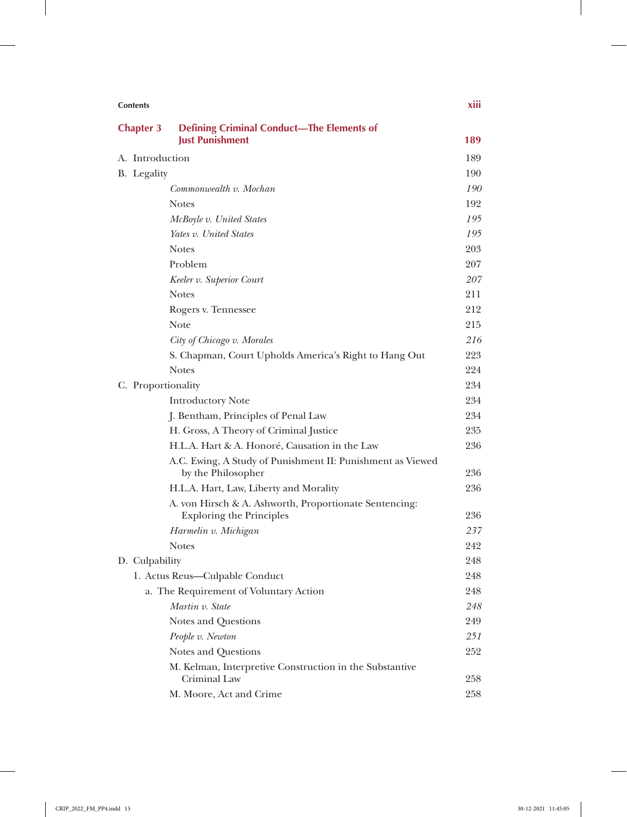| <b>Contents</b>                                |                                                                            | xiii       |
|------------------------------------------------|----------------------------------------------------------------------------|------------|
| <b>Chapter 3</b>                               | <b>Defining Criminal Conduct-The Elements of</b><br><b>Just Punishment</b> | 189        |
|                                                |                                                                            |            |
| A. Introduction                                |                                                                            | 189<br>190 |
| B. Legality                                    | Commonwealth v. Mochan                                                     | 190        |
|                                                | <b>Notes</b>                                                               | 192        |
|                                                |                                                                            |            |
|                                                | McBoyle v. United States<br>Yates v. United States                         | 195<br>195 |
|                                                | <b>Notes</b>                                                               | 203        |
|                                                | Problem                                                                    | 207        |
|                                                |                                                                            | 207        |
|                                                | Keeler v. Superior Court                                                   | 211        |
|                                                | <b>Notes</b>                                                               | 212        |
|                                                | Rogers v. Tennessee<br>Note                                                | 215        |
|                                                |                                                                            | 216        |
|                                                | City of Chicago v. Morales                                                 | 223        |
|                                                | S. Chapman, Court Upholds America's Right to Hang Out<br><b>Notes</b>      | 224        |
|                                                |                                                                            | 234        |
| C. Proportionality<br><b>Introductory Note</b> |                                                                            | 234        |
|                                                | J. Bentham, Principles of Penal Law                                        | 234        |
|                                                | H. Gross, A Theory of Criminal Justice                                     | 235        |
|                                                | H.L.A. Hart & A. Honoré, Causation in the Law                              | 236        |
|                                                | A.C. Ewing, A Study of Punishment II: Punishment as Viewed                 |            |
|                                                | by the Philosopher                                                         | 236        |
|                                                | H.L.A. Hart, Law, Liberty and Morality                                     | 236        |
|                                                | A. von Hirsch & A. Ashworth, Proportionate Sentencing:                     |            |
|                                                | <b>Exploring the Principles</b>                                            | 236        |
|                                                | Harmelin v. Michigan                                                       | 237        |
|                                                | <b>Notes</b>                                                               | 242        |
| D. Culpability                                 |                                                                            | 248        |
|                                                | 1. Actus Reus-Culpable Conduct                                             | 248        |
|                                                | a. The Requirement of Voluntary Action                                     | 248        |
|                                                | Martin v. State                                                            | 248        |
|                                                | Notes and Questions                                                        | 249        |
|                                                | People v. Newton                                                           | 251        |
|                                                | Notes and Questions                                                        | 252        |
|                                                | M. Kelman, Interpretive Construction in the Substantive<br>Criminal Law    | 258        |
|                                                | M. Moore, Act and Crime                                                    | 258        |

 $\mathbb{I}$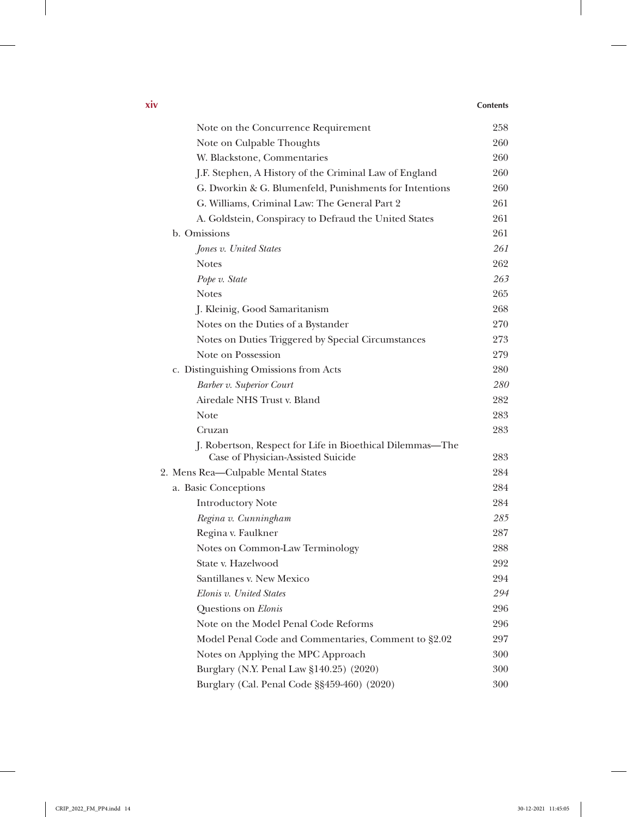| Note on the Concurrence Requirement                       | 258 |
|-----------------------------------------------------------|-----|
| Note on Culpable Thoughts                                 | 260 |
| W. Blackstone, Commentaries                               | 260 |
| J.F. Stephen, A History of the Criminal Law of England    | 260 |
| G. Dworkin & G. Blumenfeld, Punishments for Intentions    | 260 |
| G. Williams, Criminal Law: The General Part 2             | 261 |
| A. Goldstein, Conspiracy to Defraud the United States     | 261 |
| b. Omissions                                              | 261 |
| Jones v. United States                                    | 261 |
| <b>Notes</b>                                              | 262 |
| Pope v. State                                             | 263 |
| <b>Notes</b>                                              | 265 |
| J. Kleinig, Good Samaritanism                             | 268 |
| Notes on the Duties of a Bystander                        | 270 |
| Notes on Duties Triggered by Special Circumstances        | 273 |
| Note on Possession                                        | 279 |
| c. Distinguishing Omissions from Acts                     | 280 |
| Barber v. Superior Court                                  | 280 |
| Airedale NHS Trust v. Bland                               | 282 |
| Note                                                      | 283 |
| Cruzan                                                    | 283 |
| J. Robertson, Respect for Life in Bioethical Dilemmas-The |     |
| Case of Physician-Assisted Suicide                        | 283 |
| 2. Mens Rea-Culpable Mental States                        | 284 |
| a. Basic Conceptions                                      | 284 |
| <b>Introductory Note</b>                                  | 284 |
| Regina v. Cunningham                                      | 285 |
| Regina v. Faulkner                                        | 287 |
| Notes on Common-Law Terminology                           | 288 |
| State v. Hazelwood                                        | 292 |
| Santillanes v. New Mexico                                 | 294 |
| Elonis v. United States                                   | 294 |
| Questions on Elonis                                       | 296 |
| Note on the Model Penal Code Reforms                      | 296 |
| Model Penal Code and Commentaries, Comment to §2.02       | 297 |
| Notes on Applying the MPC Approach                        | 300 |
| Burglary (N.Y. Penal Law §140.25) (2020)                  | 300 |
| Burglary (Cal. Penal Code §§459-460) (2020)               | 300 |
|                                                           |     |

 $\overline{1}$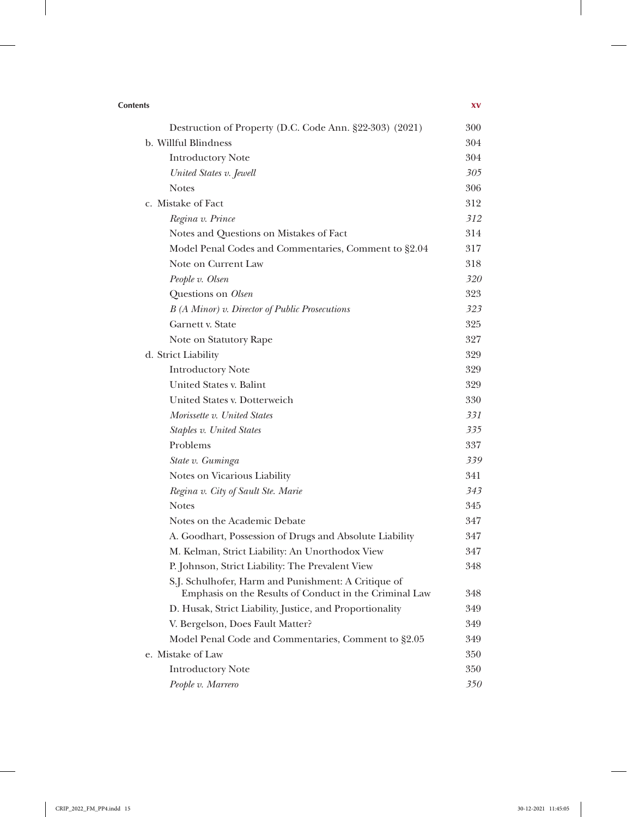| <b>Contents</b>                                                                                               | XV  |
|---------------------------------------------------------------------------------------------------------------|-----|
| Destruction of Property (D.C. Code Ann. §22-303) (2021)                                                       | 300 |
| b. Willful Blindness                                                                                          | 304 |
| <b>Introductory Note</b>                                                                                      | 304 |
| United States v. Jewell                                                                                       | 305 |
| <b>Notes</b>                                                                                                  | 306 |
| c. Mistake of Fact                                                                                            | 312 |
| Regina v. Prince                                                                                              | 312 |
| Notes and Questions on Mistakes of Fact                                                                       | 314 |
| Model Penal Codes and Commentaries, Comment to §2.04                                                          | 317 |
| Note on Current Law                                                                                           | 318 |
| People v. Olsen                                                                                               | 320 |
| Questions on Olsen                                                                                            | 323 |
| B (A Minor) v. Director of Public Prosecutions                                                                | 323 |
| Garnett v. State                                                                                              | 325 |
| Note on Statutory Rape                                                                                        | 327 |
| d. Strict Liability                                                                                           | 329 |
| <b>Introductory Note</b>                                                                                      | 329 |
| United States v. Balint                                                                                       | 329 |
| United States v. Dotterweich                                                                                  | 330 |
| Morissette v. United States                                                                                   | 331 |
| Staples v. United States                                                                                      | 335 |
| Problems                                                                                                      | 337 |
| State v. Guminga                                                                                              | 339 |
| Notes on Vicarious Liability                                                                                  | 341 |
| Regina v. City of Sault Ste. Marie                                                                            | 343 |
| <b>Notes</b>                                                                                                  | 345 |
| Notes on the Academic Debate                                                                                  | 347 |
| A. Goodhart, Possession of Drugs and Absolute Liability                                                       | 347 |
| M. Kelman, Strict Liability: An Unorthodox View                                                               | 347 |
| P. Johnson, Strict Liability: The Prevalent View                                                              | 348 |
| S.J. Schulhofer, Harm and Punishment: A Critique of<br>Emphasis on the Results of Conduct in the Criminal Law | 348 |
| D. Husak, Strict Liability, Justice, and Proportionality                                                      | 349 |
| V. Bergelson, Does Fault Matter?                                                                              | 349 |
| Model Penal Code and Commentaries, Comment to §2.05                                                           | 349 |
| e. Mistake of Law                                                                                             | 350 |
| <b>Introductory Note</b>                                                                                      | 350 |
| People v. Marrero                                                                                             | 350 |

 $\overline{\phantom{a}}$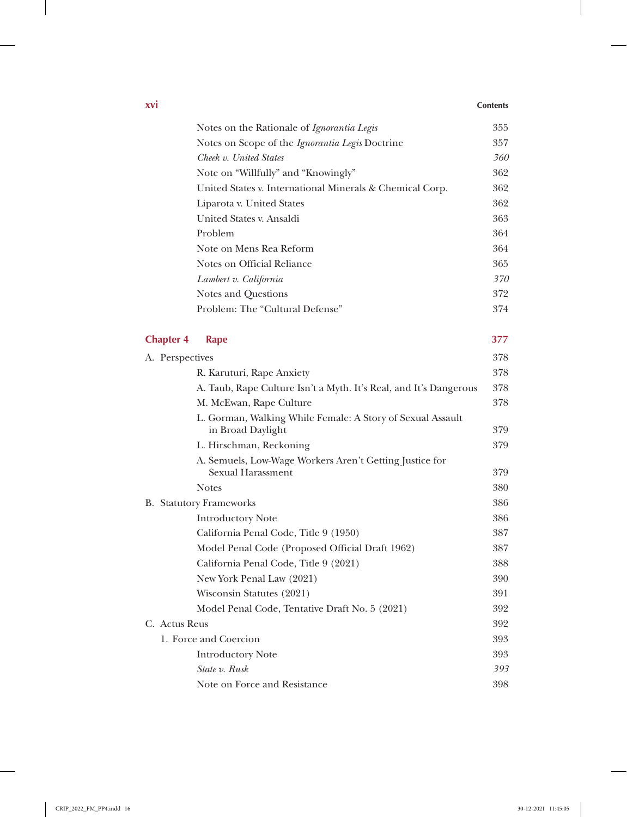### **xvi Contents**

 $\frac{1}{2}$ 

|                                                                                                                                                                                                                                                                                                                                                                                                                                                                                                                                                                                                                                                                                                                                                                                                     | Notes on the Rationale of Ignorantia Legis                                                                                                                                                           | 355 |
|-----------------------------------------------------------------------------------------------------------------------------------------------------------------------------------------------------------------------------------------------------------------------------------------------------------------------------------------------------------------------------------------------------------------------------------------------------------------------------------------------------------------------------------------------------------------------------------------------------------------------------------------------------------------------------------------------------------------------------------------------------------------------------------------------------|------------------------------------------------------------------------------------------------------------------------------------------------------------------------------------------------------|-----|
|                                                                                                                                                                                                                                                                                                                                                                                                                                                                                                                                                                                                                                                                                                                                                                                                     | Notes on Scope of the <i>Ignorantia Legis</i> Doctrine                                                                                                                                               | 357 |
|                                                                                                                                                                                                                                                                                                                                                                                                                                                                                                                                                                                                                                                                                                                                                                                                     | Cheek v. United States                                                                                                                                                                               | 360 |
| Note on "Willfully" and "Knowingly"<br>United States v. International Minerals & Chemical Corp.<br>Liparota v. United States<br>United States v. Ansaldi<br>Problem<br>Note on Mens Rea Reform<br>Notes on Official Reliance<br>Lambert v. California<br>Notes and Questions<br>Problem: The "Cultural Defense"<br><b>Rape</b><br>A. Perspectives<br>R. Karuturi, Rape Anxiety<br>A. Taub, Rape Culture Isn't a Myth. It's Real, and It's Dangerous<br>M. McEwan, Rape Culture<br>L. Gorman, Walking While Female: A Story of Sexual Assault<br>in Broad Daylight<br>L. Hirschman, Reckoning<br>A. Semuels, Low-Wage Workers Aren't Getting Justice for<br>Sexual Harassment<br><b>Notes</b><br><b>B.</b> Statutory Frameworks<br><b>Introductory Note</b><br>California Penal Code, Title 9 (1950) | 362                                                                                                                                                                                                  |     |
|                                                                                                                                                                                                                                                                                                                                                                                                                                                                                                                                                                                                                                                                                                                                                                                                     | Model Penal Code (Proposed Official Draft 1962)<br>California Penal Code, Title 9 (2021)<br>New York Penal Law (2021)<br>Wisconsin Statutes (2021)<br>Model Penal Code, Tentative Draft No. 5 (2021) | 362 |
|                                                                                                                                                                                                                                                                                                                                                                                                                                                                                                                                                                                                                                                                                                                                                                                                     |                                                                                                                                                                                                      | 362 |
|                                                                                                                                                                                                                                                                                                                                                                                                                                                                                                                                                                                                                                                                                                                                                                                                     |                                                                                                                                                                                                      | 363 |
|                                                                                                                                                                                                                                                                                                                                                                                                                                                                                                                                                                                                                                                                                                                                                                                                     | 364                                                                                                                                                                                                  |     |
|                                                                                                                                                                                                                                                                                                                                                                                                                                                                                                                                                                                                                                                                                                                                                                                                     |                                                                                                                                                                                                      | 364 |
|                                                                                                                                                                                                                                                                                                                                                                                                                                                                                                                                                                                                                                                                                                                                                                                                     |                                                                                                                                                                                                      | 365 |
|                                                                                                                                                                                                                                                                                                                                                                                                                                                                                                                                                                                                                                                                                                                                                                                                     |                                                                                                                                                                                                      | 370 |
|                                                                                                                                                                                                                                                                                                                                                                                                                                                                                                                                                                                                                                                                                                                                                                                                     |                                                                                                                                                                                                      | 372 |
|                                                                                                                                                                                                                                                                                                                                                                                                                                                                                                                                                                                                                                                                                                                                                                                                     |                                                                                                                                                                                                      | 374 |
|                                                                                                                                                                                                                                                                                                                                                                                                                                                                                                                                                                                                                                                                                                                                                                                                     |                                                                                                                                                                                                      |     |
| <b>Chapter 4</b>                                                                                                                                                                                                                                                                                                                                                                                                                                                                                                                                                                                                                                                                                                                                                                                    |                                                                                                                                                                                                      | 377 |
|                                                                                                                                                                                                                                                                                                                                                                                                                                                                                                                                                                                                                                                                                                                                                                                                     |                                                                                                                                                                                                      | 378 |
|                                                                                                                                                                                                                                                                                                                                                                                                                                                                                                                                                                                                                                                                                                                                                                                                     |                                                                                                                                                                                                      | 378 |
|                                                                                                                                                                                                                                                                                                                                                                                                                                                                                                                                                                                                                                                                                                                                                                                                     |                                                                                                                                                                                                      | 378 |
|                                                                                                                                                                                                                                                                                                                                                                                                                                                                                                                                                                                                                                                                                                                                                                                                     |                                                                                                                                                                                                      | 378 |
|                                                                                                                                                                                                                                                                                                                                                                                                                                                                                                                                                                                                                                                                                                                                                                                                     |                                                                                                                                                                                                      | 379 |
|                                                                                                                                                                                                                                                                                                                                                                                                                                                                                                                                                                                                                                                                                                                                                                                                     |                                                                                                                                                                                                      | 379 |
|                                                                                                                                                                                                                                                                                                                                                                                                                                                                                                                                                                                                                                                                                                                                                                                                     |                                                                                                                                                                                                      |     |
|                                                                                                                                                                                                                                                                                                                                                                                                                                                                                                                                                                                                                                                                                                                                                                                                     |                                                                                                                                                                                                      | 379 |
|                                                                                                                                                                                                                                                                                                                                                                                                                                                                                                                                                                                                                                                                                                                                                                                                     |                                                                                                                                                                                                      | 380 |
|                                                                                                                                                                                                                                                                                                                                                                                                                                                                                                                                                                                                                                                                                                                                                                                                     |                                                                                                                                                                                                      | 386 |
|                                                                                                                                                                                                                                                                                                                                                                                                                                                                                                                                                                                                                                                                                                                                                                                                     |                                                                                                                                                                                                      | 386 |
|                                                                                                                                                                                                                                                                                                                                                                                                                                                                                                                                                                                                                                                                                                                                                                                                     |                                                                                                                                                                                                      | 387 |
|                                                                                                                                                                                                                                                                                                                                                                                                                                                                                                                                                                                                                                                                                                                                                                                                     |                                                                                                                                                                                                      | 387 |
|                                                                                                                                                                                                                                                                                                                                                                                                                                                                                                                                                                                                                                                                                                                                                                                                     |                                                                                                                                                                                                      | 388 |
|                                                                                                                                                                                                                                                                                                                                                                                                                                                                                                                                                                                                                                                                                                                                                                                                     |                                                                                                                                                                                                      | 390 |
|                                                                                                                                                                                                                                                                                                                                                                                                                                                                                                                                                                                                                                                                                                                                                                                                     |                                                                                                                                                                                                      | 391 |
|                                                                                                                                                                                                                                                                                                                                                                                                                                                                                                                                                                                                                                                                                                                                                                                                     |                                                                                                                                                                                                      | 392 |
| C. Actus Reus                                                                                                                                                                                                                                                                                                                                                                                                                                                                                                                                                                                                                                                                                                                                                                                       |                                                                                                                                                                                                      | 392 |

1. Force and Coercion 393

Introductory Note 393 *State v. Rusk 393* Note on Force and Resistance 398

 $\mathbb{I}$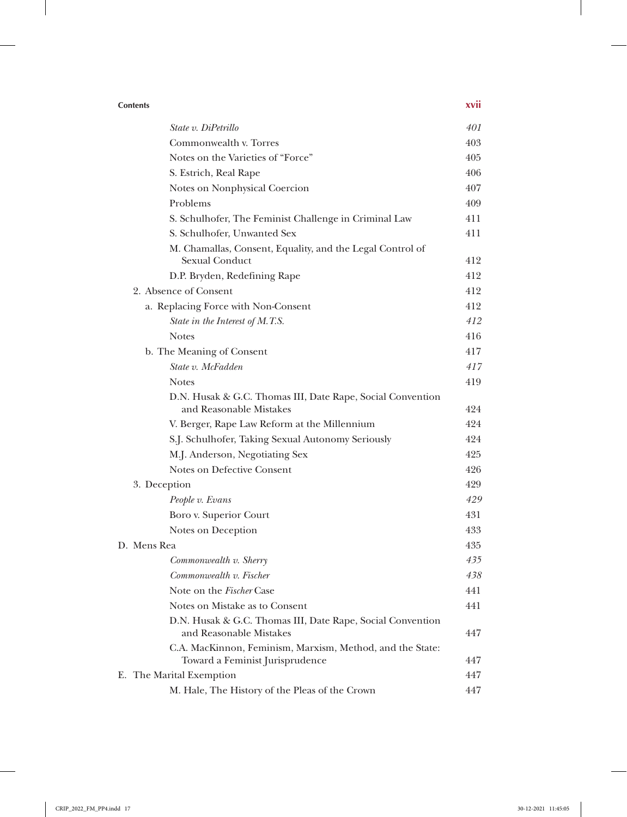| <b>Contents</b>                                                                       | xvii |
|---------------------------------------------------------------------------------------|------|
| State v. DiPetrillo                                                                   | 401  |
| Commonwealth v. Torres                                                                | 403  |
| Notes on the Varieties of "Force"                                                     | 405  |
| S. Estrich, Real Rape                                                                 | 406  |
| Notes on Nonphysical Coercion                                                         | 407  |
| Problems                                                                              | 409  |
| S. Schulhofer, The Feminist Challenge in Criminal Law                                 | 411  |
| S. Schulhofer, Unwanted Sex                                                           | 411  |
| M. Chamallas, Consent, Equality, and the Legal Control of<br>Sexual Conduct           | 412  |
| D.P. Bryden, Redefining Rape                                                          | 412  |
| 2. Absence of Consent                                                                 | 412  |
| a. Replacing Force with Non-Consent                                                   | 412  |
| State in the Interest of M.T.S.                                                       | 412  |
| <b>Notes</b>                                                                          | 416  |
| b. The Meaning of Consent                                                             | 417  |
| State v. McFadden                                                                     | 417  |
| <b>Notes</b>                                                                          | 419  |
| D.N. Husak & G.C. Thomas III, Date Rape, Social Convention<br>and Reasonable Mistakes | 424  |
| V. Berger, Rape Law Reform at the Millennium                                          | 424  |
| S.J. Schulhofer, Taking Sexual Autonomy Seriously                                     | 424  |
| M.J. Anderson, Negotiating Sex                                                        | 425  |
| Notes on Defective Consent                                                            | 426  |
| 3. Deception                                                                          | 429  |
| People v. Evans                                                                       | 429  |
| Boro v. Superior Court                                                                | 431  |
| Notes on Deception                                                                    | 433  |
| D. Mens Rea                                                                           | 435  |
| Commonwealth v. Sherry                                                                | 435  |
| Commonwealth v. Fischer                                                               | 438  |
| Note on the Fischer Case                                                              | 441  |
| Notes on Mistake as to Consent                                                        | 441  |
| D.N. Husak & G.C. Thomas III, Date Rape, Social Convention<br>and Reasonable Mistakes | 447  |
| C.A. MacKinnon, Feminism, Marxism, Method, and the State:                             |      |
| Toward a Feminist Jurisprudence                                                       | 447  |
| E. The Marital Exemption                                                              | 447  |
| M. Hale, The History of the Pleas of the Crown                                        | 447  |

 $\mathbf{r}$ 

 $\overline{\phantom{a}}$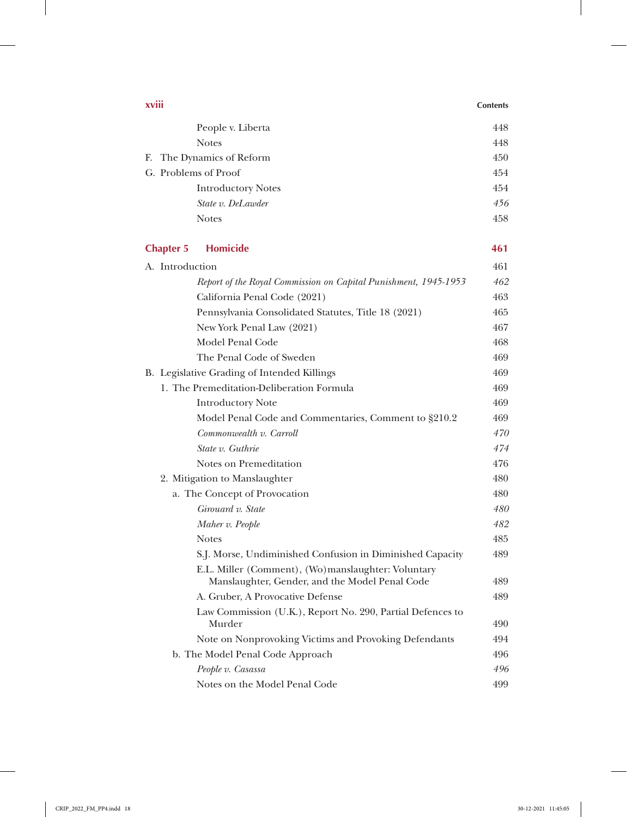| xviii            |                                                                                                      | <b>Contents</b> |
|------------------|------------------------------------------------------------------------------------------------------|-----------------|
|                  | People v. Liberta                                                                                    | 448             |
|                  | <b>Notes</b>                                                                                         | 448             |
|                  | F. The Dynamics of Reform                                                                            | 450             |
|                  | G. Problems of Proof                                                                                 | 454             |
|                  | <b>Introductory Notes</b>                                                                            | 454             |
|                  | State v. DeLawder                                                                                    | 456             |
|                  | <b>Notes</b>                                                                                         | 458             |
| <b>Chapter 5</b> | <b>Homicide</b>                                                                                      | 461             |
| A. Introduction  |                                                                                                      | 461             |
|                  | Report of the Royal Commission on Capital Punishment, 1945-1953                                      | 462             |
|                  | California Penal Code (2021)                                                                         | 463             |
|                  | Pennsylvania Consolidated Statutes, Title 18 (2021)                                                  | 465             |
|                  | New York Penal Law (2021)                                                                            | 467             |
|                  | Model Penal Code                                                                                     | 468             |
|                  | The Penal Code of Sweden                                                                             | 469             |
|                  | B. Legislative Grading of Intended Killings                                                          | 469             |
|                  | 1. The Premeditation-Deliberation Formula                                                            | 469             |
|                  | <b>Introductory Note</b>                                                                             | 469             |
|                  | Model Penal Code and Commentaries, Comment to §210.2                                                 | 469             |
|                  | Commonwealth v. Carroll                                                                              | 470             |
|                  | State v. Guthrie                                                                                     | 474             |
|                  | Notes on Premeditation                                                                               | 476             |
|                  | 2. Mitigation to Manslaughter                                                                        | 480             |
|                  | a. The Concept of Provocation                                                                        | 480             |
|                  | Girouard v. State                                                                                    | 480             |
|                  | Maher v. People                                                                                      | 482             |
|                  | <b>Notes</b>                                                                                         | 485             |
|                  | S.J. Morse, Undiminished Confusion in Diminished Capacity                                            | 489             |
|                  | E.L. Miller (Comment), (Wo)manslaughter: Voluntary<br>Manslaughter, Gender, and the Model Penal Code | 489             |
|                  | A. Gruber, A Provocative Defense                                                                     | 489             |
|                  | Law Commission (U.K.), Report No. 290, Partial Defences to<br>Murder                                 | 490             |
|                  | Note on Nonprovoking Victims and Provoking Defendants                                                | 494             |
|                  | b. The Model Penal Code Approach                                                                     | 496             |
|                  |                                                                                                      |                 |
|                  | People v. Casassa                                                                                    | 496             |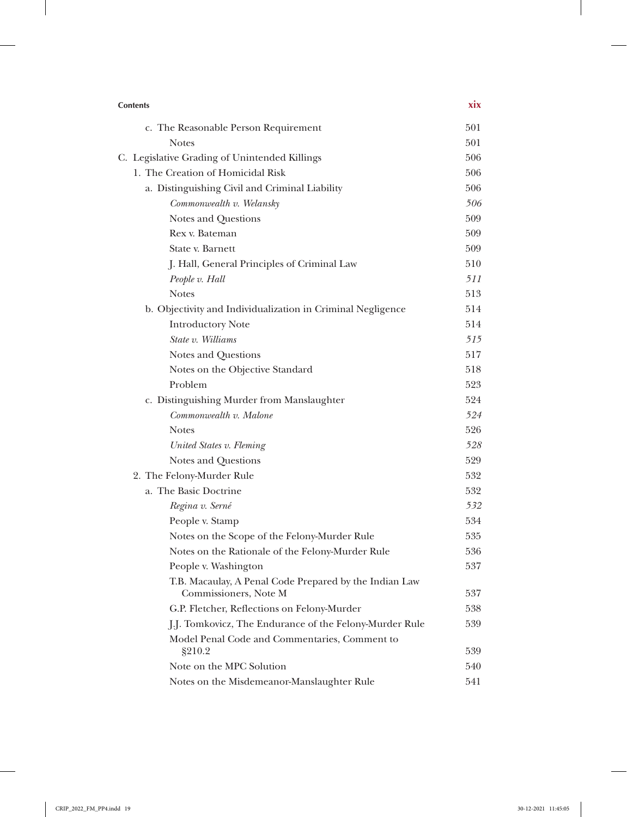| <b>Contents</b>                                                                 | <b>XIX</b> |
|---------------------------------------------------------------------------------|------------|
| c. The Reasonable Person Requirement                                            | 501        |
| <b>Notes</b>                                                                    | 501        |
| C. Legislative Grading of Unintended Killings                                   | 506        |
| 1. The Creation of Homicidal Risk                                               | 506        |
| a. Distinguishing Civil and Criminal Liability                                  | 506        |
| Commonwealth v. Welansky                                                        | 506        |
| Notes and Questions                                                             | 509        |
| Rex v. Bateman                                                                  | 509        |
| State v. Barnett                                                                | 509        |
| J. Hall, General Principles of Criminal Law                                     | 510        |
| People v. Hall                                                                  | 511        |
| <b>Notes</b>                                                                    | 513        |
| b. Objectivity and Individualization in Criminal Negligence                     | 514        |
| <b>Introductory Note</b>                                                        | 514        |
| State v. Williams                                                               | 515        |
| Notes and Questions                                                             | 517        |
| Notes on the Objective Standard                                                 | 518        |
| Problem                                                                         | 523        |
| c. Distinguishing Murder from Manslaughter                                      | 524        |
| Commonwealth v. Malone                                                          | 524        |
| <b>Notes</b>                                                                    | 526        |
| United States v. Fleming                                                        | 528        |
| Notes and Questions                                                             | 529        |
| 2. The Felony-Murder Rule                                                       | 532        |
| a. The Basic Doctrine                                                           | 532        |
| Regina v. Serné                                                                 | 532        |
| People v. Stamp                                                                 | 534        |
| Notes on the Scope of the Felony-Murder Rule                                    | 535        |
| Notes on the Rationale of the Felony-Murder Rule                                | 536        |
| People v. Washington                                                            | 537        |
| T.B. Macaulay, A Penal Code Prepared by the Indian Law<br>Commissioners, Note M | 537        |
| G.P. Fletcher, Reflections on Felony-Murder                                     | 538        |
| J.J. Tomkovicz, The Endurance of the Felony-Murder Rule                         | 539        |
| Model Penal Code and Commentaries, Comment to                                   |            |
| §210.2                                                                          | 539        |
| Note on the MPC Solution                                                        | 540        |
| Notes on the Misdemeanor-Manslaughter Rule                                      | 541        |

 $\overline{\phantom{a}}$ 

 $\mathbb{I}$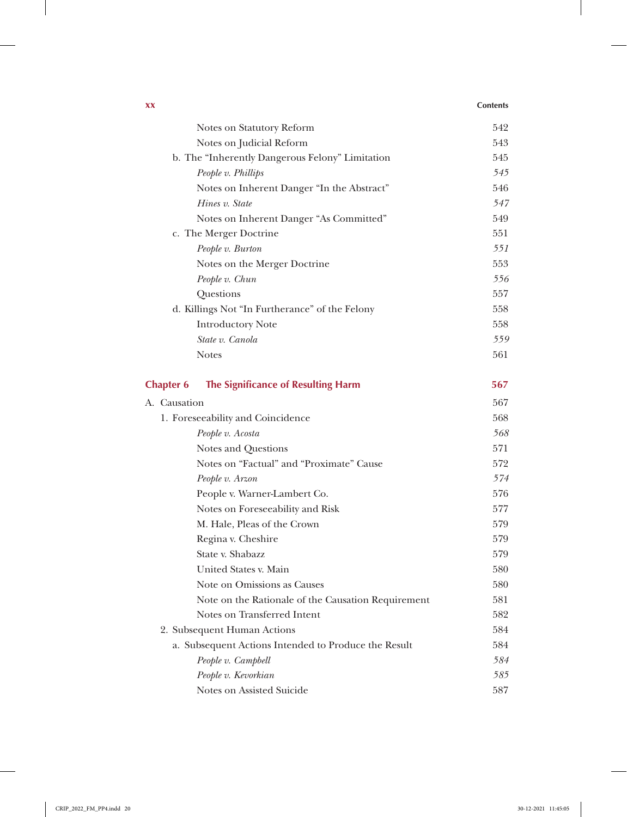### **xx Contents**

 $\overline{\phantom{a}}$ 

| Notes on Statutory Reform                              | 542 |
|--------------------------------------------------------|-----|
| Notes on Judicial Reform                               | 543 |
| b. The "Inherently Dangerous Felony" Limitation        | 545 |
| People v. Phillips                                     | 545 |
| Notes on Inherent Danger "In the Abstract"             | 546 |
| Hines v. State                                         | 547 |
| Notes on Inherent Danger "As Committed"                | 549 |
| c. The Merger Doctrine                                 | 551 |
| People v. Burton                                       | 551 |
| Notes on the Merger Doctrine                           | 553 |
| People v. Chun                                         | 556 |
| Questions                                              | 557 |
| d. Killings Not "In Furtherance" of the Felony         | 558 |
| <b>Introductory Note</b>                               | 558 |
| State v. Canola                                        | 559 |
| <b>Notes</b>                                           | 561 |
| The Significance of Resulting Harm<br><b>Chapter 6</b> | 567 |
| A. Causation                                           | 567 |
| 1. Foreseeability and Coincidence                      | 568 |
| People v. Acosta                                       | 568 |
| Notes and Questions                                    | 571 |
| Notes on "Factual" and "Proximate" Cause               | 572 |
| People v. Arzon                                        | 574 |
| People v. Warner-Lambert Co.                           | 576 |
| Notes on Foreseeability and Risk                       | 577 |
| M. Hale, Pleas of the Crown                            | 579 |
| Regina v. Cheshire                                     | 579 |
| State v. Shabazz                                       | 579 |
| United States v. Main                                  | 580 |
| Note on Omissions as Causes                            | 580 |
| Note on the Rationale of the Causation Requirement     | 581 |
| Notes on Transferred Intent                            | 582 |
| 2. Subsequent Human Actions                            | 584 |
| a. Subsequent Actions Intended to Produce the Result   | 584 |
| People v. Campbell                                     | 584 |
| People v. Kevorkian                                    | 585 |
| Notes on Assisted Suicide                              | 587 |

 $\perp$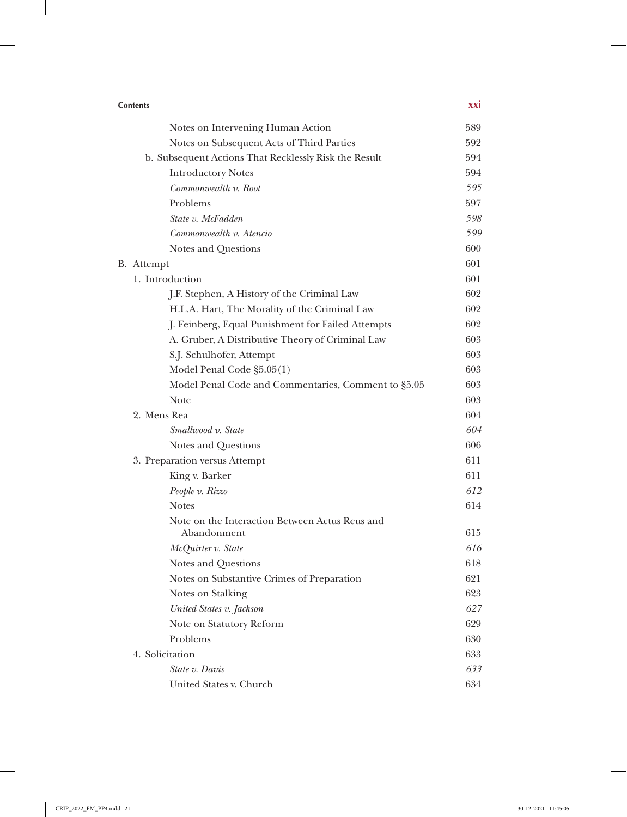| <b>Contents</b>                                       |     |
|-------------------------------------------------------|-----|
| Notes on Intervening Human Action                     | 589 |
| Notes on Subsequent Acts of Third Parties             | 592 |
| b. Subsequent Actions That Recklessly Risk the Result | 594 |
| <b>Introductory Notes</b>                             | 594 |
| Commonwealth v. Root                                  | 595 |
| Problems                                              | 597 |
| State v. McFadden                                     | 598 |
| Commonwealth v. Atencio                               | 599 |
| Notes and Questions                                   | 600 |
| B. Attempt                                            | 601 |
| 1. Introduction                                       | 601 |
| J.F. Stephen, A History of the Criminal Law           | 602 |
| H.L.A. Hart, The Morality of the Criminal Law         | 602 |
| J. Feinberg, Equal Punishment for Failed Attempts     | 602 |
| A. Gruber, A Distributive Theory of Criminal Law      | 603 |
| S.J. Schulhofer, Attempt                              | 603 |
| Model Penal Code §5.05(1)                             | 603 |
| Model Penal Code and Commentaries, Comment to §5.05   | 603 |
| Note                                                  | 603 |
| 2. Mens Rea                                           | 604 |
| Smallwood v. State                                    | 604 |
| Notes and Questions                                   | 606 |
| 3. Preparation versus Attempt                         | 611 |
| King v. Barker                                        | 611 |
| People v. Rizzo                                       | 612 |
| <b>Notes</b>                                          | 614 |
| Note on the Interaction Between Actus Reus and        |     |
| Abandonment                                           | 615 |
| McOuirter v. State                                    | 616 |
| Notes and Questions                                   | 618 |
| Notes on Substantive Crimes of Preparation            | 621 |
| Notes on Stalking                                     | 623 |
| United States v. Jackson                              | 627 |
| Note on Statutory Reform                              | 629 |
| Problems                                              | 630 |
| 4. Solicitation                                       | 633 |
| State v. Davis                                        | 633 |
| United States v. Church                               | 634 |

 $\overline{\phantom{a}}$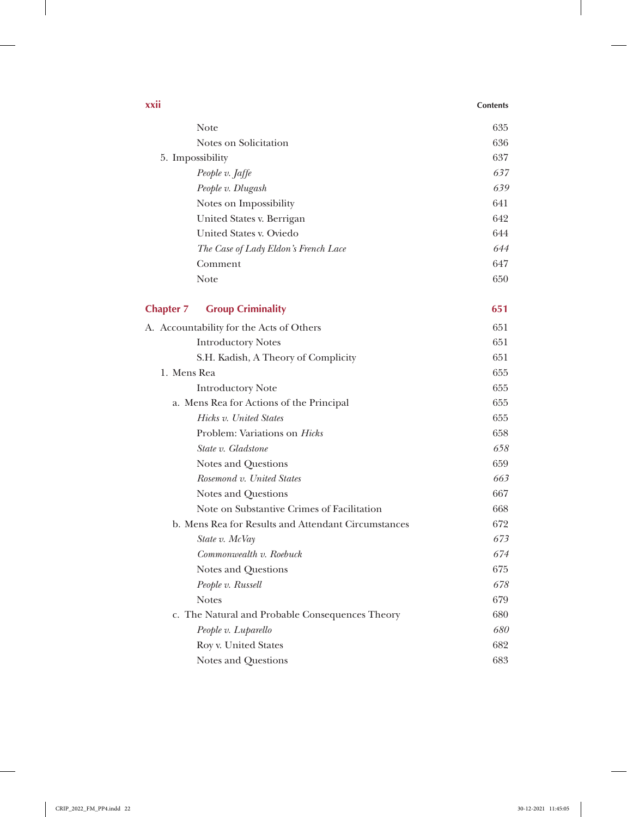| XXII             |                                                     | <b>Contents</b> |
|------------------|-----------------------------------------------------|-----------------|
|                  | Note                                                | 635             |
|                  | Notes on Solicitation                               | 636             |
| 5. Impossibility |                                                     | 637             |
|                  | People v. Jaffe                                     | 637             |
|                  | People v. Dlugash                                   | 639             |
|                  | Notes on Impossibility                              | 641             |
|                  | United States v. Berrigan                           | 642             |
|                  | United States v. Oviedo                             | 644             |
|                  | The Case of Lady Eldon's French Lace                | 644             |
|                  | Comment                                             | 647             |
|                  | <b>Note</b>                                         | 650             |
| <b>Chapter 7</b> | <b>Group Criminality</b>                            | 651             |
|                  | A. Accountability for the Acts of Others            | 651             |
|                  | <b>Introductory Notes</b>                           | 651             |
|                  | S.H. Kadish, A Theory of Complicity                 | 651             |
| 1. Mens Rea      |                                                     | 655             |
|                  | <b>Introductory Note</b>                            | 655             |
|                  | a. Mens Rea for Actions of the Principal            | 655             |
|                  | Hicks v. United States                              | 655             |
|                  | Problem: Variations on <i>Hicks</i>                 | 658             |
|                  | State v. Gladstone                                  | 658             |
|                  | Notes and Questions                                 | 659             |
|                  | Rosemond v. United States                           | 663             |
|                  | Notes and Questions                                 | 667             |
|                  | Note on Substantive Crimes of Facilitation          | 668             |
|                  | b. Mens Rea for Results and Attendant Circumstances | 672             |
|                  | State v. McVay                                      | 673             |
|                  | Commonwealth v. Roebuck                             | 674             |
|                  | Notes and Questions                                 | 675             |
|                  | People v. Russell                                   | 678             |
|                  | <b>Notes</b>                                        | 679             |
|                  | c. The Natural and Probable Consequences Theory     | 680             |
|                  | People v. Luparello                                 | 680             |
|                  | Roy v. United States                                | 682             |
|                  | Notes and Questions                                 | 683             |

 $\overline{\phantom{a}}$ 

 $\frac{1}{2}$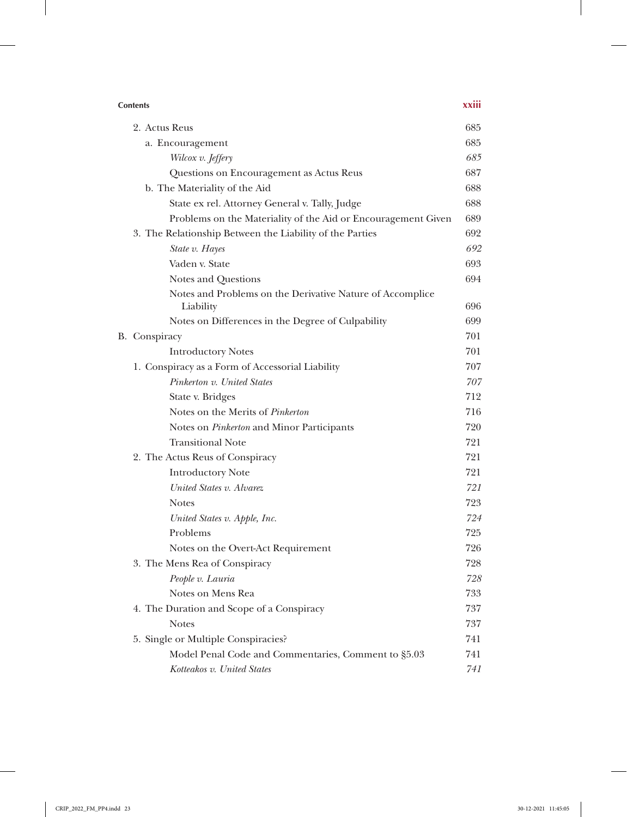| <b>Contents</b>                                                | xxiii |
|----------------------------------------------------------------|-------|
| 2. Actus Reus                                                  | 685   |
| a. Encouragement                                               | 685   |
| Wilcox v. Jeffery                                              | 685   |
| Questions on Encouragement as Actus Reus                       | 687   |
| b. The Materiality of the Aid                                  | 688   |
| State ex rel. Attorney General v. Tally, Judge                 | 688   |
| Problems on the Materiality of the Aid or Encouragement Given  | 689   |
| 3. The Relationship Between the Liability of the Parties       | 692   |
| State v. Hayes                                                 | 692   |
| Vaden v. State                                                 | 693   |
| Notes and Questions                                            | 694   |
| Notes and Problems on the Derivative Nature of Accomplice      | 696   |
| Liability<br>Notes on Differences in the Degree of Culpability | 699   |
| B. Conspiracy                                                  | 701   |
| <b>Introductory Notes</b>                                      | 701   |
| 1. Conspiracy as a Form of Accessorial Liability               | 707   |
| Pinkerton v. United States                                     | 707   |
| State v. Bridges                                               | 712   |
| Notes on the Merits of Pinkerton                               | 716   |
| Notes on <i>Pinkerton</i> and Minor Participants               | 720   |
| <b>Transitional Note</b>                                       | 721   |
| 2. The Actus Reus of Conspiracy                                | 721   |
| <b>Introductory Note</b>                                       | 721   |
| United States v. Alvarez                                       | 721   |
| <b>Notes</b>                                                   | 723   |
| United States v. Apple, Inc.                                   | 724   |
| Problems                                                       | 725   |
| Notes on the Overt-Act Requirement                             | 726   |
| 3. The Mens Rea of Conspiracy                                  | 728   |
| People v. Lauria                                               | 728   |
| Notes on Mens Rea                                              | 733   |
| 4. The Duration and Scope of a Conspiracy                      | 737   |
| <b>Notes</b>                                                   | 737   |
| 5. Single or Multiple Conspiracies?                            | 741   |
| Model Penal Code and Commentaries, Comment to §5.03            | 741   |
| Kotteakos v. United States                                     | 741   |

 $\overline{\phantom{a}}$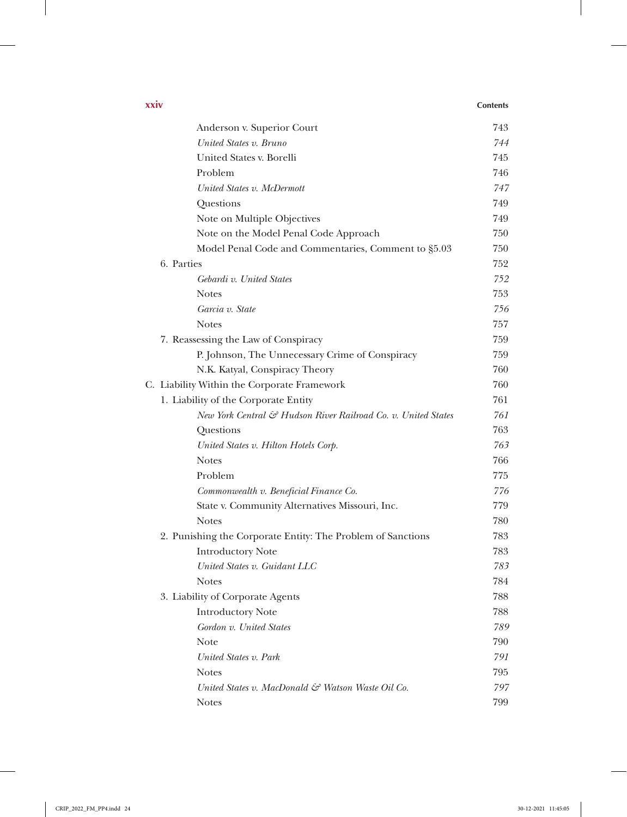### **xxiv Contents**

 $\begin{array}{c} \hline \end{array}$ 

| Anderson v. Superior Court                                    | 743 |
|---------------------------------------------------------------|-----|
| United States v. Bruno                                        | 744 |
| United States v. Borelli                                      | 745 |
| Problem                                                       | 746 |
| United States v. McDermott                                    | 747 |
| Questions                                                     | 749 |
| Note on Multiple Objectives                                   | 749 |
| Note on the Model Penal Code Approach                         | 750 |
| Model Penal Code and Commentaries, Comment to §5.03           | 750 |
| 6. Parties                                                    | 752 |
| Gebardi v. United States                                      | 752 |
| <b>Notes</b>                                                  | 753 |
| Garcia v. State                                               | 756 |
| <b>Notes</b>                                                  | 757 |
| 7. Reassessing the Law of Conspiracy                          | 759 |
| P. Johnson, The Unnecessary Crime of Conspiracy               | 759 |
| N.K. Katyal, Conspiracy Theory                                | 760 |
| C. Liability Within the Corporate Framework                   | 760 |
| 1. Liability of the Corporate Entity                          | 761 |
| New York Central & Hudson River Railroad Co. v. United States | 761 |
| Questions                                                     | 763 |
| United States v. Hilton Hotels Corp.                          | 763 |
| <b>Notes</b>                                                  | 766 |
| Problem                                                       | 775 |
| Commonwealth v. Beneficial Finance Co.                        | 776 |
| State v. Community Alternatives Missouri, Inc.                | 779 |
| <b>Notes</b>                                                  | 780 |
| 2. Punishing the Corporate Entity: The Problem of Sanctions   | 783 |
| <b>Introductory Note</b>                                      | 783 |
| United States v. Guidant LLC                                  | 783 |
| <b>Notes</b>                                                  | 784 |
| 3. Liability of Corporate Agents                              | 788 |
| <b>Introductory Note</b>                                      | 788 |
| Gordon v. United States                                       | 789 |
| Note                                                          | 790 |
| United States v. Park                                         | 791 |
| <b>Notes</b>                                                  | 795 |
| United States v. MacDonald & Watson Waste Oil Co.             | 797 |
| <b>Notes</b>                                                  | 799 |
|                                                               |     |

 $\perp$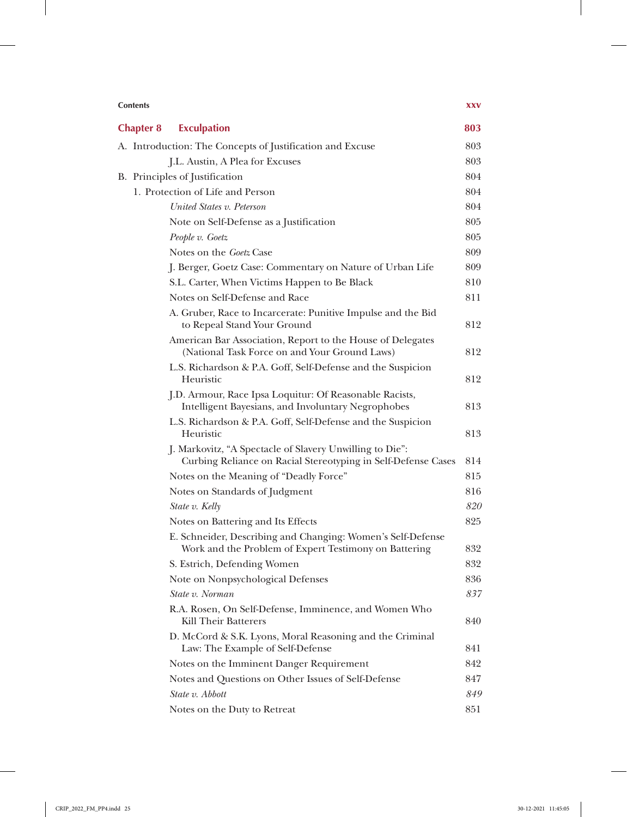| <b>Contents</b>                                                                                                           | <b>XXV</b> |
|---------------------------------------------------------------------------------------------------------------------------|------------|
| <b>Exculpation</b><br><b>Chapter 8</b>                                                                                    | 803        |
| A. Introduction: The Concepts of Justification and Excuse                                                                 | 803        |
| J.L. Austin, A Plea for Excuses                                                                                           | 803        |
| B. Principles of Justification                                                                                            | 804        |
| 1. Protection of Life and Person                                                                                          | 804        |
| United States v. Peterson                                                                                                 | 804        |
| Note on Self-Defense as a Justification                                                                                   | 805        |
| People v. Goetz                                                                                                           | 805        |
| Notes on the Goetz Case                                                                                                   | 809        |
| J. Berger, Goetz Case: Commentary on Nature of Urban Life                                                                 | 809        |
| S.L. Carter, When Victims Happen to Be Black                                                                              | 810        |
| Notes on Self-Defense and Race                                                                                            | 811        |
| A. Gruber, Race to Incarcerate: Punitive Impulse and the Bid<br>to Repeal Stand Your Ground                               | 812        |
| American Bar Association, Report to the House of Delegates<br>(National Task Force on and Your Ground Laws)               | 812        |
| L.S. Richardson & P.A. Goff, Self-Defense and the Suspicion<br>Heuristic                                                  | 812        |
| J.D. Armour, Race Ipsa Loquitur: Of Reasonable Racists,<br>Intelligent Bayesians, and Involuntary Negrophobes             | 813        |
| L.S. Richardson & P.A. Goff, Self-Defense and the Suspicion<br>Heuristic                                                  | 813        |
| J. Markovitz, "A Spectacle of Slavery Unwilling to Die":<br>Curbing Reliance on Racial Stereotyping in Self-Defense Cases | 814        |
| Notes on the Meaning of "Deadly Force"                                                                                    | 815        |
| Notes on Standards of Judgment                                                                                            | 816        |
| State v. Kelly                                                                                                            | 820        |
| Notes on Battering and Its Effects                                                                                        | 825        |
| E. Schneider, Describing and Changing: Women's Self-Defense<br>Work and the Problem of Expert Testimony on Battering      | 832        |
| S. Estrich, Defending Women                                                                                               | 832        |
| Note on Nonpsychological Defenses                                                                                         | 836        |
| State v. Norman                                                                                                           | 837        |
| R.A. Rosen, On Self-Defense, Imminence, and Women Who<br><b>Kill Their Batterers</b>                                      | 840        |
| D. McCord & S.K. Lyons, Moral Reasoning and the Criminal<br>Law: The Example of Self-Defense                              | 841        |
| Notes on the Imminent Danger Requirement                                                                                  | 842        |
| Notes and Questions on Other Issues of Self-Defense                                                                       | 847        |
| State v. Abbott                                                                                                           | 849        |
| Notes on the Duty to Retreat                                                                                              | 851        |

 $\perp$ 

 $\overline{\phantom{a}}$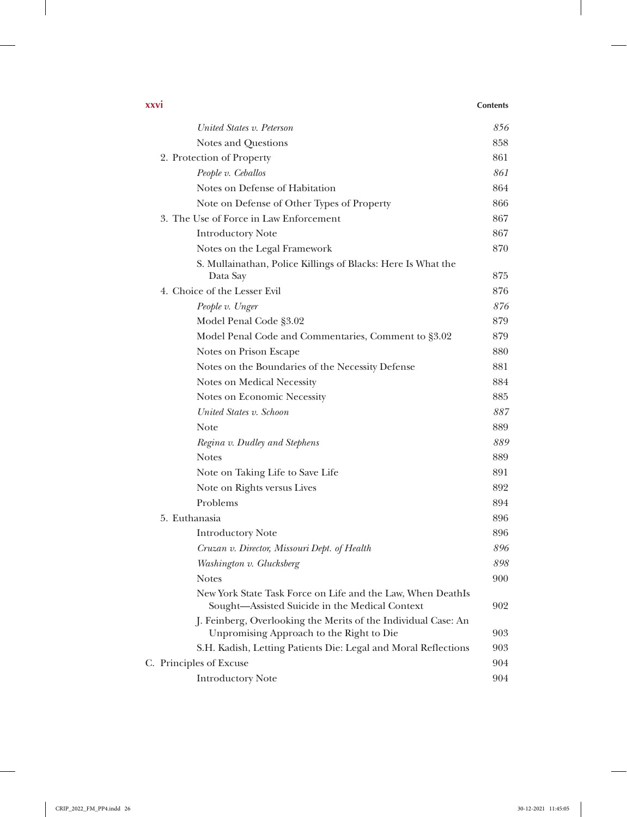| XXVI |  | <b>Contents</b> |
|------|--|-----------------|
|------|--|-----------------|

| United States v. Peterson                                                                                     | 856 |
|---------------------------------------------------------------------------------------------------------------|-----|
| Notes and Questions                                                                                           | 858 |
| 2. Protection of Property                                                                                     | 861 |
| People v. Ceballos                                                                                            | 861 |
| Notes on Defense of Habitation                                                                                | 864 |
| Note on Defense of Other Types of Property                                                                    | 866 |
| 3. The Use of Force in Law Enforcement                                                                        | 867 |
| <b>Introductory Note</b>                                                                                      | 867 |
| Notes on the Legal Framework                                                                                  | 870 |
| S. Mullainathan, Police Killings of Blacks: Here Is What the<br>Data Say                                      | 875 |
| 4. Choice of the Lesser Evil                                                                                  | 876 |
| People v. Unger                                                                                               | 876 |
| Model Penal Code §3.02                                                                                        | 879 |
| Model Penal Code and Commentaries, Comment to §3.02                                                           | 879 |
| Notes on Prison Escape                                                                                        | 880 |
| Notes on the Boundaries of the Necessity Defense                                                              | 881 |
| Notes on Medical Necessity                                                                                    | 884 |
| Notes on Economic Necessity                                                                                   | 885 |
| United States v. Schoon                                                                                       | 887 |
| <b>Note</b>                                                                                                   | 889 |
| Regina v. Dudley and Stephens                                                                                 | 889 |
| <b>Notes</b>                                                                                                  | 889 |
| Note on Taking Life to Save Life                                                                              | 891 |
| Note on Rights versus Lives                                                                                   | 892 |
| Problems                                                                                                      | 894 |
| 5. Euthanasia                                                                                                 | 896 |
| <b>Introductory Note</b>                                                                                      | 896 |
| Cruzan v. Director, Missouri Dept. of Health                                                                  | 896 |
| Washington v. Glucksberg                                                                                      | 898 |
| <b>Notes</b>                                                                                                  | 900 |
| New York State Task Force on Life and the Law, When DeathIs<br>Sought-Assisted Suicide in the Medical Context | 902 |
| J. Feinberg, Overlooking the Merits of the Individual Case: An<br>Unpromising Approach to the Right to Die    | 903 |
| S.H. Kadish, Letting Patients Die: Legal and Moral Reflections                                                | 903 |
| C. Principles of Excuse                                                                                       | 904 |
| <b>Introductory Note</b>                                                                                      | 904 |
|                                                                                                               |     |

 $\mathbf{I}$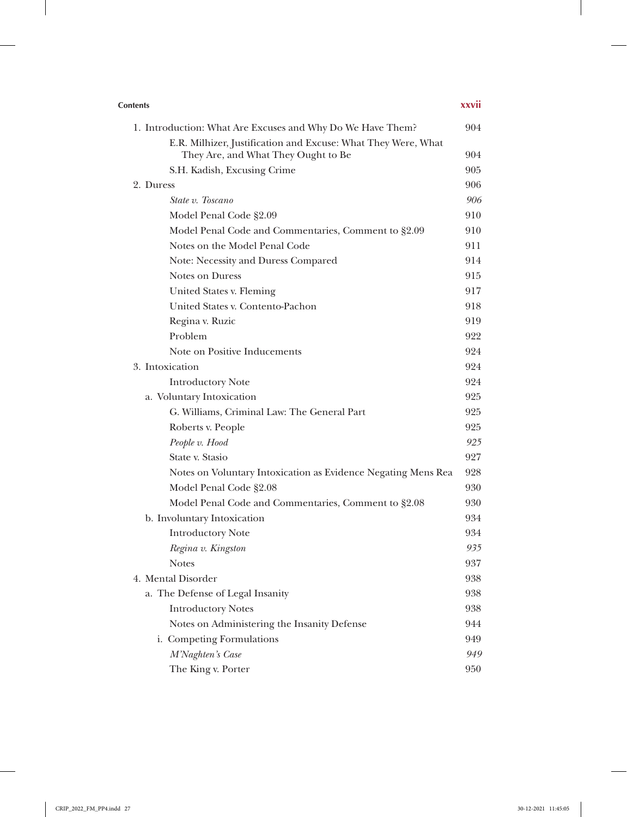| <b>Contents</b>                                               | xxvii |
|---------------------------------------------------------------|-------|
| 1. Introduction: What Are Excuses and Why Do We Have Them?    | 904   |
| E.R. Milhizer, Justification and Excuse: What They Were, What |       |
| They Are, and What They Ought to Be                           | 904   |
| S.H. Kadish, Excusing Crime                                   | 905   |
| 2. Duress                                                     | 906   |
| State v. Toscano                                              | 906   |
| Model Penal Code §2.09                                        | 910   |
| Model Penal Code and Commentaries, Comment to §2.09           | 910   |
| Notes on the Model Penal Code                                 | 911   |
| Note: Necessity and Duress Compared                           | 914   |
| <b>Notes on Duress</b>                                        | 915   |
| United States v. Fleming                                      | 917   |
| United States v. Contento-Pachon                              | 918   |
| Regina v. Ruzic                                               | 919   |
| Problem                                                       | 922   |
| Note on Positive Inducements                                  | 924   |
| 3. Intoxication                                               | 924   |
| <b>Introductory Note</b>                                      | 924   |
| a. Voluntary Intoxication                                     | 925   |
| G. Williams, Criminal Law: The General Part                   | 925   |
| Roberts v. People                                             | 925   |
| People v. Hood                                                | 925   |
| State v. Stasio                                               | 927   |
| Notes on Voluntary Intoxication as Evidence Negating Mens Rea | 928   |
| Model Penal Code §2.08                                        | 930   |
| Model Penal Code and Commentaries, Comment to §2.08           | 930   |
| b. Involuntary Intoxication                                   | 934   |
| <b>Introductory Note</b>                                      | 934   |
| Regina v. Kingston                                            | 935   |
| <b>Notes</b>                                                  | 937   |
| 4. Mental Disorder                                            | 938   |
| a. The Defense of Legal Insanity                              | 938   |
| <b>Introductory Notes</b>                                     | 938   |
| Notes on Administering the Insanity Defense                   | 944   |
| i. Competing Formulations                                     | 949   |
| M'Naghten's Case                                              | 949   |
| The King v. Porter                                            | 950   |

 $\overline{\phantom{a}}$ 

 $\frac{1}{2}$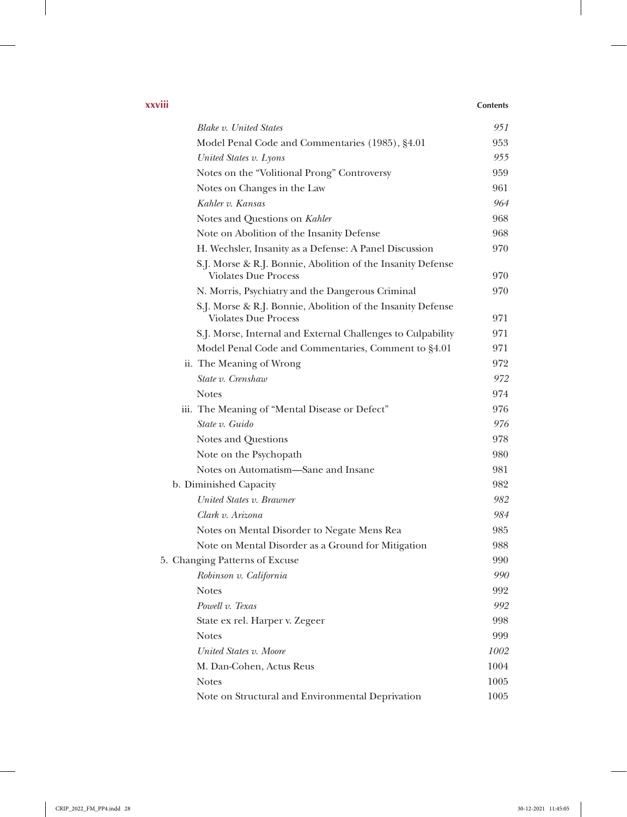| .      |                 |
|--------|-----------------|
| XXVIII | <b>Contents</b> |
|        |                 |

 $\overline{\phantom{a}}$ 

| <b>Blake v. United States</b>                                                              | 951  |
|--------------------------------------------------------------------------------------------|------|
| Model Penal Code and Commentaries (1985), §4.01                                            | 953  |
| United States v. Lyons                                                                     | 955  |
| Notes on the "Volitional Prong" Controversy                                                | 959  |
| Notes on Changes in the Law                                                                | 961  |
| Kahler v. Kansas                                                                           | 964  |
| Notes and Questions on Kahler                                                              | 968  |
| Note on Abolition of the Insanity Defense                                                  | 968  |
| H. Wechsler, Insanity as a Defense: A Panel Discussion                                     | 970  |
| S.J. Morse & R.J. Bonnie, Abolition of the Insanity Defense<br><b>Violates Due Process</b> | 970  |
| N. Morris, Psychiatry and the Dangerous Criminal                                           | 970  |
| S.J. Morse & R.J. Bonnie, Abolition of the Insanity Defense<br><b>Violates Due Process</b> | 971  |
| S.J. Morse, Internal and External Challenges to Culpability                                | 971  |
| Model Penal Code and Commentaries, Comment to §4.01                                        | 971  |
| ii. The Meaning of Wrong                                                                   | 972  |
| State v. Crenshaw                                                                          | 972  |
| <b>Notes</b>                                                                               | 974  |
| iii. The Meaning of "Mental Disease or Defect"                                             | 976  |
| State v. Guido                                                                             | 976  |
| Notes and Questions                                                                        | 978  |
| Note on the Psychopath                                                                     | 980  |
| Notes on Automatism-Sane and Insane                                                        | 981  |
| b. Diminished Capacity                                                                     | 982  |
| United States v. Brawner                                                                   | 982  |
| Clark v. Arizona                                                                           | 984  |
| Notes on Mental Disorder to Negate Mens Rea                                                | 985  |
| Note on Mental Disorder as a Ground for Mitigation                                         | 988  |
| 5. Changing Patterns of Excuse                                                             | 990  |
| Robinson v. California                                                                     | 990  |
| <b>Notes</b>                                                                               | 992  |
| Powell v. Texas                                                                            | 992  |
| State ex rel. Harper v. Zegeer                                                             | 998  |
| <b>Notes</b>                                                                               | 999  |
| United States v. Moore                                                                     | 1002 |
| M. Dan-Cohen, Actus Reus                                                                   | 1004 |
| <b>Notes</b>                                                                               | 1005 |
| Note on Structural and Environmental Deprivation                                           | 1005 |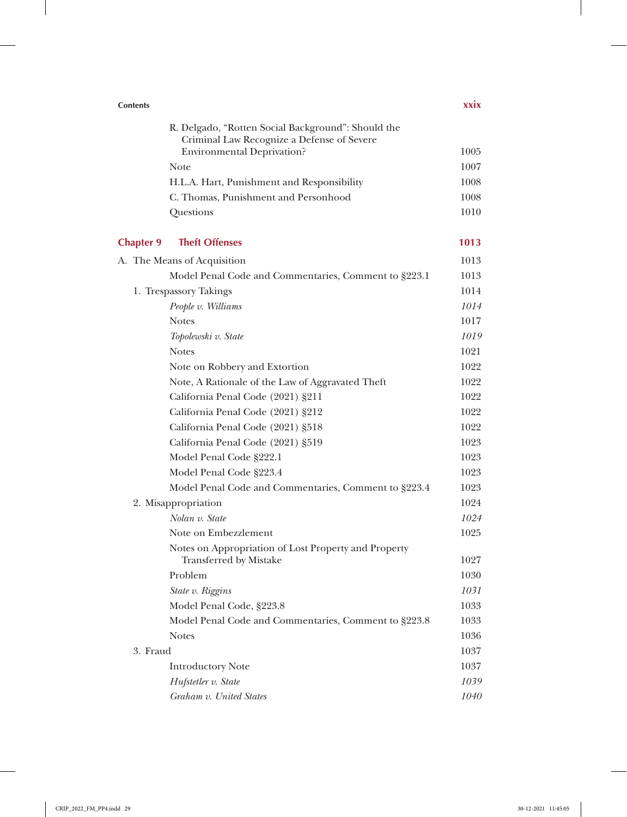| <b>Contents</b>  |                                                                                                  | <b>xxix</b> |
|------------------|--------------------------------------------------------------------------------------------------|-------------|
|                  | R. Delgado, "Rotten Social Background": Should the<br>Criminal Law Recognize a Defense of Severe |             |
|                  | <b>Environmental Deprivation?</b>                                                                | 1005        |
|                  | <b>Note</b>                                                                                      | 1007        |
|                  | H.L.A. Hart, Punishment and Responsibility                                                       | 1008        |
|                  | C. Thomas, Punishment and Personhood                                                             | 1008        |
|                  | Questions                                                                                        | 1010        |
| <b>Chapter 9</b> | <b>Theft Offenses</b>                                                                            | 1013        |
|                  | A. The Means of Acquisition                                                                      | 1013        |
|                  | Model Penal Code and Commentaries, Comment to §223.1                                             | 1013        |
|                  | 1. Trespassory Takings                                                                           | 1014        |
|                  | People v. Williams                                                                               | 1014        |
|                  | <b>Notes</b>                                                                                     | 1017        |
|                  | Topolewski v. State                                                                              | 1019        |
|                  | <b>Notes</b>                                                                                     | 1021        |
|                  | Note on Robbery and Extortion                                                                    | 1022        |
|                  | Note, A Rationale of the Law of Aggravated Theft                                                 | 1022        |
|                  | California Penal Code (2021) §211                                                                | 1022        |
|                  | California Penal Code (2021) §212                                                                | 1022        |
|                  | California Penal Code (2021) §518                                                                | 1022        |
|                  | California Penal Code (2021) §519                                                                | 1023        |
|                  | Model Penal Code §222.1                                                                          | 1023        |
|                  | Model Penal Code §223.4                                                                          | 1023        |
|                  | Model Penal Code and Commentaries, Comment to §223.4                                             | 1023        |
|                  | 2. Misappropriation                                                                              | 1024        |
|                  | Nolan v. State                                                                                   | 1024        |
|                  | Note on Embezzlement                                                                             | 1025        |
|                  | Notes on Appropriation of Lost Property and Property<br><b>Transferred by Mistake</b>            | 1027        |
|                  | Problem                                                                                          | 1030        |
|                  | State v. Riggins                                                                                 | 1031        |
|                  | Model Penal Code, §223.8                                                                         | 1033        |
|                  | Model Penal Code and Commentaries, Comment to §223.8                                             | 1033        |
|                  | <b>Notes</b>                                                                                     | 1036        |
| 3. Fraud         |                                                                                                  | 1037        |
|                  | <b>Introductory Note</b>                                                                         | 1037        |
|                  | Hufstetler v. State                                                                              | 1039        |
|                  | Graham v. United States                                                                          | 1040        |

 $\overline{\phantom{a}}$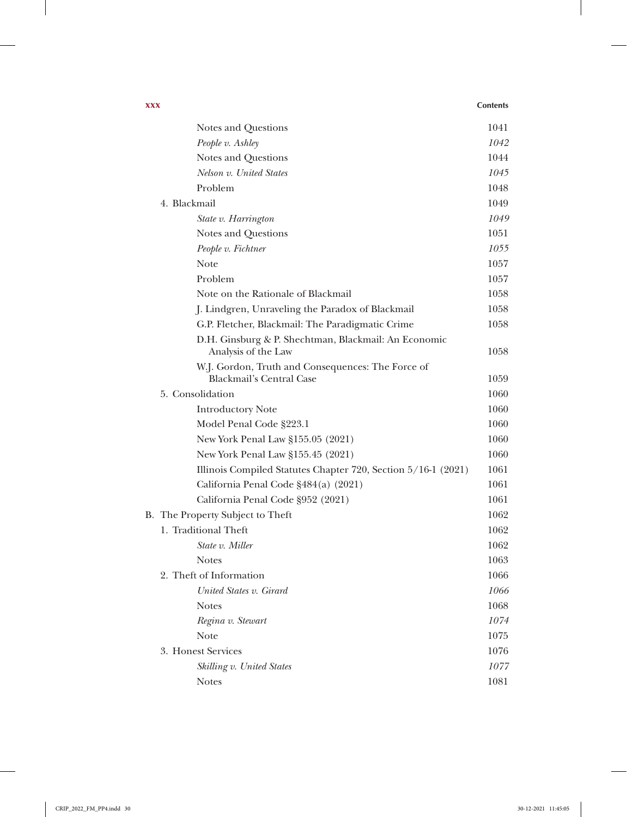| XXX |                                                                             | <b>Contents</b> |
|-----|-----------------------------------------------------------------------------|-----------------|
|     | Notes and Questions                                                         | 1041            |
|     | People v. Ashley                                                            | 1042            |
|     | Notes and Questions                                                         | 1044            |
|     | Nelson v. United States                                                     | 1045            |
|     | Problem                                                                     | 1048            |
|     | 4. Blackmail                                                                | 1049            |
|     | State v. Harrington                                                         | 1049            |
|     | Notes and Questions                                                         | 1051            |
|     | People v. Fichtner                                                          | 1055            |
|     | <b>Note</b>                                                                 | 1057            |
|     | Problem                                                                     | 1057            |
|     | Note on the Rationale of Blackmail                                          | 1058            |
|     | J. Lindgren, Unraveling the Paradox of Blackmail                            | 1058            |
|     | G.P. Fletcher, Blackmail: The Paradigmatic Crime                            | 1058            |
|     | D.H. Ginsburg & P. Shechtman, Blackmail: An Economic<br>Analysis of the Law | 1058            |
|     | W.J. Gordon, Truth and Consequences: The Force of                           |                 |
|     | <b>Blackmail's Central Case</b><br>5. Consolidation                         | 1059<br>1060    |
|     |                                                                             | 1060            |
|     | <b>Introductory Note</b>                                                    | 1060            |
|     | Model Penal Code §223.1                                                     |                 |
|     | New York Penal Law §155.05 (2021)                                           | 1060            |
|     | New York Penal Law §155.45 (2021)                                           | 1060            |
|     | Illinois Compiled Statutes Chapter 720, Section 5/16-1 (2021)               | 1061            |
|     | California Penal Code §484(a) (2021)                                        | 1061            |
|     | California Penal Code §952 (2021)                                           | 1061            |
|     | B. The Property Subject to Theft                                            | 1062            |
|     | 1. Traditional Theft                                                        | 1062            |
|     | State v. Miller                                                             | 1062            |
|     | <b>Notes</b>                                                                | 1063            |
|     | 2. Theft of Information                                                     | 1066            |
|     | United States v. Girard                                                     | 1066            |
|     | <b>Notes</b>                                                                | 1068            |
|     | Regina v. Stewart                                                           | 1074            |
|     | <b>Note</b>                                                                 | 1075            |
|     | 3. Honest Services                                                          | 1076            |
|     | Skilling v. United States                                                   | 1077            |
|     | <b>Notes</b>                                                                | 1081            |

 $\overline{\phantom{a}}$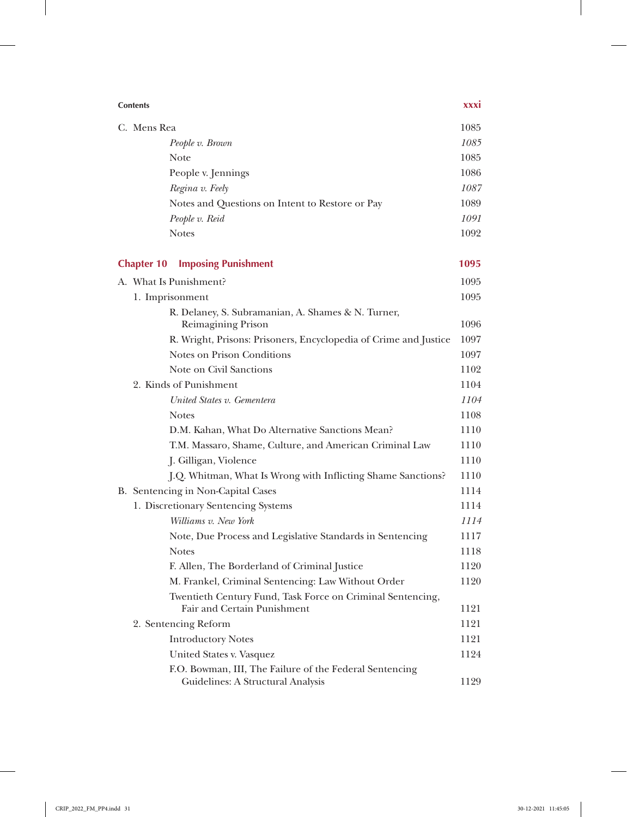| <b>Contents</b>                                                                              | xxxi |  |
|----------------------------------------------------------------------------------------------|------|--|
| C. Mens Rea                                                                                  |      |  |
| People v. Brown                                                                              | 1085 |  |
| <b>Note</b>                                                                                  | 1085 |  |
| People v. Jennings                                                                           | 1086 |  |
| Regina v. Feely                                                                              | 1087 |  |
| Notes and Questions on Intent to Restore or Pay                                              | 1089 |  |
| People v. Reid                                                                               | 1091 |  |
| <b>Notes</b>                                                                                 | 1092 |  |
| <b>Imposing Punishment</b><br><b>Chapter 10</b>                                              | 1095 |  |
| A. What Is Punishment?                                                                       | 1095 |  |
| 1. Imprisonment                                                                              | 1095 |  |
| R. Delaney, S. Subramanian, A. Shames & N. Turner,                                           |      |  |
| Reimagining Prison                                                                           | 1096 |  |
| R. Wright, Prisons: Prisoners, Encyclopedia of Crime and Justice                             | 1097 |  |
| Notes on Prison Conditions                                                                   | 1097 |  |
| Note on Civil Sanctions                                                                      | 1102 |  |
| 2. Kinds of Punishment                                                                       | 1104 |  |
| United States v. Gementera                                                                   | 1104 |  |
| <b>Notes</b>                                                                                 | 1108 |  |
| D.M. Kahan, What Do Alternative Sanctions Mean?                                              | 1110 |  |
| T.M. Massaro, Shame, Culture, and American Criminal Law                                      | 1110 |  |
| J. Gilligan, Violence                                                                        | 1110 |  |
| J.Q. Whitman, What Is Wrong with Inflicting Shame Sanctions?                                 | 1110 |  |
| B. Sentencing in Non-Capital Cases                                                           | 1114 |  |
| 1. Discretionary Sentencing Systems                                                          | 1114 |  |
| Williams v. New York                                                                         | 1114 |  |
| Note, Due Process and Legislative Standards in Sentencing                                    | 1117 |  |
| <b>Notes</b>                                                                                 | 1118 |  |
| F. Allen, The Borderland of Criminal Justice                                                 | 1120 |  |
| M. Frankel, Criminal Sentencing: Law Without Order                                           | 1120 |  |
| Twentieth Century Fund, Task Force on Criminal Sentencing,<br>Fair and Certain Punishment    | 1121 |  |
| 2. Sentencing Reform                                                                         | 1121 |  |
| <b>Introductory Notes</b>                                                                    | 1121 |  |
| United States v. Vasquez                                                                     | 1124 |  |
| F.O. Bowman, III, The Failure of the Federal Sentencing<br>Guidelines: A Structural Analysis | 1129 |  |

 $\overline{\phantom{a}}$